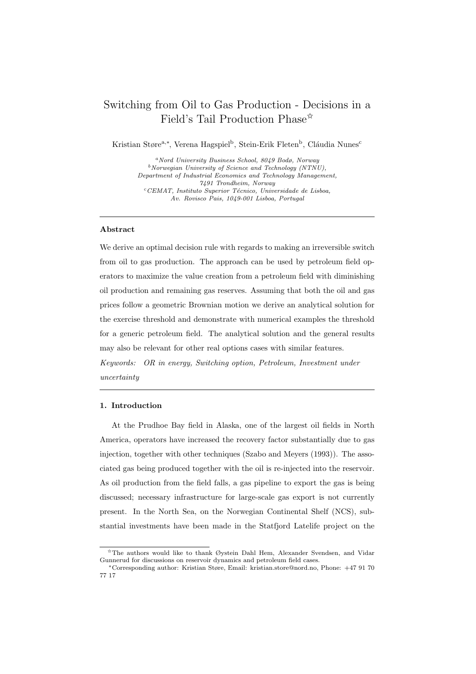# Switching from Oil to Gas Production - Decisions in a Field's Tail Production Phase<sup> $\hat{\mathbf{x}}$ </sup>

Kristian Støre<sup>a,∗</sup>, Verena Hagspiel<sup>b</sup>, Stein-Erik Fleten<sup>b</sup>, Cláudia Nunes<sup>c</sup>

<sup>a</sup>Nord University Business School, 8049 Bodø, Norway  $b$ Norwegian University of Science and Technology (NTNU), Department of Industrial Economics and Technology Management, 7491 Trondheim, Norway  ${}^c$ CEMAT, Instituto Superior Técnico, Universidade de Lisboa, Av. Rovisco Pais, 1049-001 Lisboa, Portugal

### Abstract

We derive an optimal decision rule with regards to making an irreversible switch from oil to gas production. The approach can be used by petroleum field operators to maximize the value creation from a petroleum field with diminishing oil production and remaining gas reserves. Assuming that both the oil and gas prices follow a geometric Brownian motion we derive an analytical solution for the exercise threshold and demonstrate with numerical examples the threshold for a generic petroleum field. The analytical solution and the general results may also be relevant for other real options cases with similar features.

Keywords: OR in energy, Switching option, Petroleum, Investment under uncertainty

#### 1. Introduction

At the Prudhoe Bay field in Alaska, one of the largest oil fields in North America, operators have increased the recovery factor substantially due to gas injection, together with other techniques (Szabo and Meyers (1993)). The associated gas being produced together with the oil is re-injected into the reservoir. As oil production from the field falls, a gas pipeline to export the gas is being discussed; necessary infrastructure for large-scale gas export is not currently present. In the North Sea, on the Norwegian Continental Shelf (NCS), substantial investments have been made in the Statfjord Latelife project on the

<sup>✩</sup>The authors would like to thank Øystein Dahl Hem, Alexander Svendsen, and Vidar Gunnerud for discussions on reservoir dynamics and petroleum field cases.

<sup>∗</sup>Corresponding author: Kristian Støre, Email: kristian.store@nord.no, Phone: +47 91 70 77 17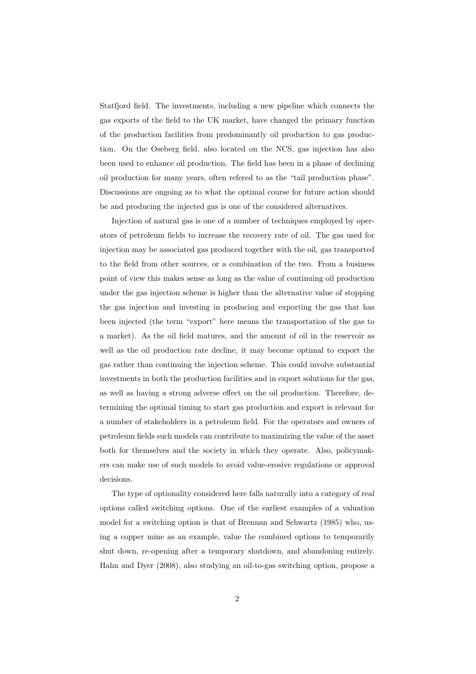Statfjord field. The investments, including a new pipeline which connects the gas exports of the field to the UK market, have changed the primary function of the production facilities from predominantly oil production to gas production. On the Oseberg field, also located on the NCS, gas injection has also been used to enhance oil production. The field has been in a phase of declining oil production for many years, often refered to as the "tail production phase". Discussions are ongoing as to what the optimal course for future action should be and producing the injected gas is one of the considered alternatives.

Injection of natural gas is one of a number of techniques employed by operators of petroleum fields to increase the recovery rate of oil. The gas used for injection may be associated gas produced together with the oil, gas transported to the field from other sources, or a combination of the two. From a business point of view this makes sense as long as the value of continuing oil production under the gas injection scheme is higher than the alternative value of stopping the gas injection and investing in producing and exporting the gas that has been injected (the term "export" here means the transportation of the gas to a market). As the oil field matures, and the amount of oil in the reservoir as well as the oil production rate decline, it may become optimal to export the gas rather than continuing the injection scheme. This could involve substantial investments in both the production facilities and in export solutions for the gas, as well as having a strong adverse effect on the oil production. Therefore, determining the optimal timing to start gas production and export is relevant for a number of stakeholders in a petroleum field. For the operators and owners of petroleum fields such models can contribute to maximizing the value of the asset both for themselves and the society in which they operate. Also, policymakers can make use of such models to avoid value-erosive regulations or approval decisions.

The type of optionality considered here falls naturally into a category of real options called switching options. One of the earliest examples of a valuation model for a switching option is that of Brennan and Schwartz (1985) who, using a copper mine as an example, value the combined options to temporarily shut down, re-opening after a temporary shutdown, and abandoning entirely. Hahn and Dyer (2008), also studying an oil-to-gas switching option, propose a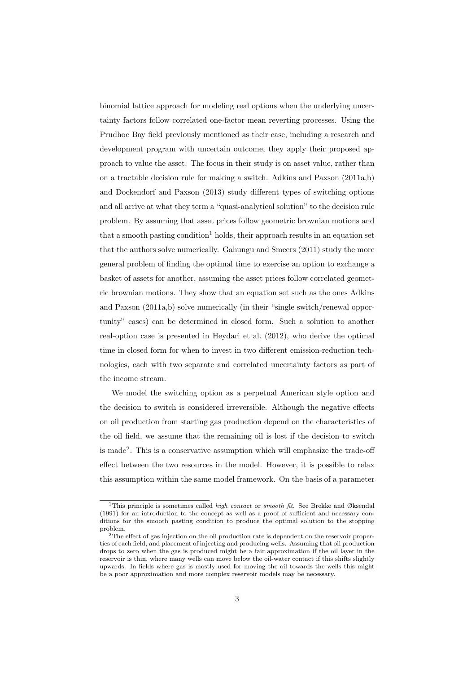binomial lattice approach for modeling real options when the underlying uncertainty factors follow correlated one-factor mean reverting processes. Using the Prudhoe Bay field previously mentioned as their case, including a research and development program with uncertain outcome, they apply their proposed approach to value the asset. The focus in their study is on asset value, rather than on a tractable decision rule for making a switch. Adkins and Paxson (2011a,b) and Dockendorf and Paxson (2013) study different types of switching options and all arrive at what they term a "quasi-analytical solution" to the decision rule problem. By assuming that asset prices follow geometric brownian motions and that a smooth pasting condition<sup>1</sup> holds, their approach results in an equation set that the authors solve numerically. Gahungu and Smeers (2011) study the more general problem of finding the optimal time to exercise an option to exchange a basket of assets for another, assuming the asset prices follow correlated geometric brownian motions. They show that an equation set such as the ones Adkins and Paxson (2011a,b) solve numerically (in their "single switch/renewal opportunity" cases) can be determined in closed form. Such a solution to another real-option case is presented in Heydari et al. (2012), who derive the optimal time in closed form for when to invest in two different emission-reduction technologies, each with two separate and correlated uncertainty factors as part of the income stream.

We model the switching option as a perpetual American style option and the decision to switch is considered irreversible. Although the negative effects on oil production from starting gas production depend on the characteristics of the oil field, we assume that the remaining oil is lost if the decision to switch is made<sup>2</sup> . This is a conservative assumption which will emphasize the trade-off effect between the two resources in the model. However, it is possible to relax this assumption within the same model framework. On the basis of a parameter

<sup>&</sup>lt;sup>1</sup>This principle is sometimes called *high contact* or *smooth fit*. See Brekke and Øksendal (1991) for an introduction to the concept as well as a proof of sufficient and necessary conditions for the smooth pasting condition to produce the optimal solution to the stopping problem.

<sup>&</sup>lt;sup>2</sup>The effect of gas injection on the oil production rate is dependent on the reservoir properties of each field, and placement of injecting and producing wells. Assuming that oil production drops to zero when the gas is produced might be a fair approximation if the oil layer in the reservoir is thin, where many wells can move below the oil-water contact if this shifts slightly upwards. In fields where gas is mostly used for moving the oil towards the wells this might be a poor approximation and more complex reservoir models may be necessary.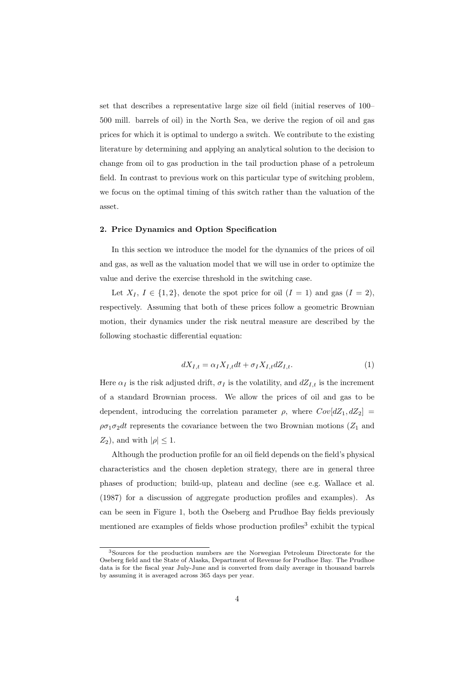set that describes a representative large size oil field (initial reserves of 100– 500 mill. barrels of oil) in the North Sea, we derive the region of oil and gas prices for which it is optimal to undergo a switch. We contribute to the existing literature by determining and applying an analytical solution to the decision to change from oil to gas production in the tail production phase of a petroleum field. In contrast to previous work on this particular type of switching problem, we focus on the optimal timing of this switch rather than the valuation of the asset.

## 2. Price Dynamics and Option Specification

In this section we introduce the model for the dynamics of the prices of oil and gas, as well as the valuation model that we will use in order to optimize the value and derive the exercise threshold in the switching case.

Let  $X_I, I \in \{1,2\}$ , denote the spot price for oil  $(I = 1)$  and gas  $(I = 2)$ , respectively. Assuming that both of these prices follow a geometric Brownian motion, their dynamics under the risk neutral measure are described by the following stochastic differential equation:

$$
dX_{I,t} = \alpha_I X_{I,t} dt + \sigma_I X_{I,t} dZ_{I,t}.
$$
\n<sup>(1)</sup>

Here  $\alpha_I$  is the risk adjusted drift,  $\sigma_I$  is the volatility, and  $dZ_{I,t}$  is the increment of a standard Brownian process. We allow the prices of oil and gas to be dependent, introducing the correlation parameter  $\rho$ , where  $Cov[dZ_1, dZ_2]$  $\rho\sigma_1\sigma_2dt$  represents the covariance between the two Brownian motions ( $Z_1$  and  $Z_2$ ), and with  $|\rho| \leq 1$ .

Although the production profile for an oil field depends on the field's physical characteristics and the chosen depletion strategy, there are in general three phases of production; build-up, plateau and decline (see e.g. Wallace et al. (1987) for a discussion of aggregate production profiles and examples). As can be seen in Figure 1, both the Oseberg and Prudhoe Bay fields previously mentioned are examples of fields whose production profiles<sup>3</sup> exhibit the typical

<sup>3</sup>Sources for the production numbers are the Norwegian Petroleum Directorate for the Oseberg field and the State of Alaska, Department of Revenue for Prudhoe Bay. The Prudhoe data is for the fiscal year July-June and is converted from daily average in thousand barrels by assuming it is averaged across 365 days per year.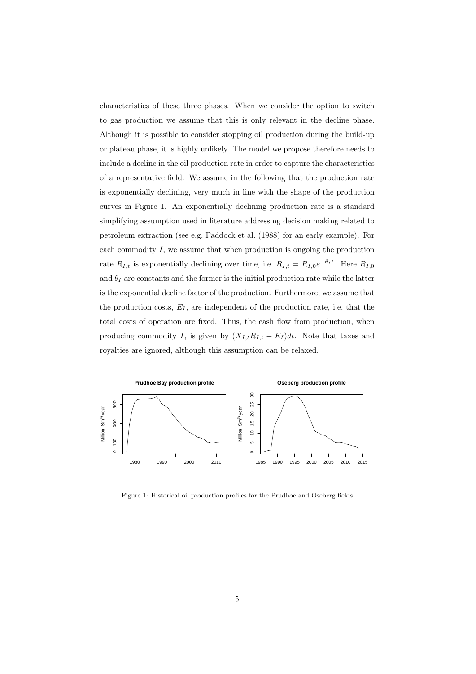characteristics of these three phases. When we consider the option to switch to gas production we assume that this is only relevant in the decline phase. Although it is possible to consider stopping oil production during the build-up or plateau phase, it is highly unlikely. The model we propose therefore needs to include a decline in the oil production rate in order to capture the characteristics of a representative field. We assume in the following that the production rate is exponentially declining, very much in line with the shape of the production curves in Figure 1. An exponentially declining production rate is a standard simplifying assumption used in literature addressing decision making related to petroleum extraction (see e.g. Paddock et al. (1988) for an early example). For each commodity  $I$ , we assume that when production is ongoing the production rate  $R_{I,t}$  is exponentially declining over time, i.e.  $R_{I,t} = R_{I,0}e^{-\theta_I t}$ . Here  $R_{I,0}$ and  $\theta_I$  are constants and the former is the initial production rate while the latter is the exponential decline factor of the production. Furthermore, we assume that the production costs,  $E_I$ , are independent of the production rate, i.e. that the total costs of operation are fixed. Thus, the cash flow from production, when producing commodity I, is given by  $(X_{I,t}R_{I,t} - E_I)dt$ . Note that taxes and royalties are ignored, although this assumption can be relaxed.



Figure 1: Historical oil production profiles for the Prudhoe and Oseberg fields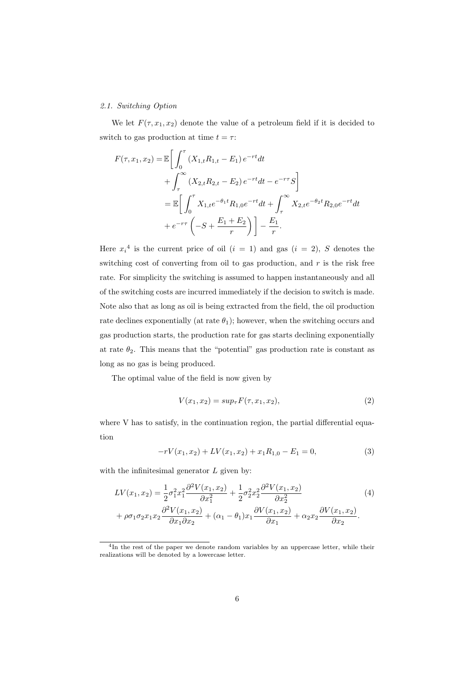## 2.1. Switching Option

We let  $F(\tau, x_1, x_2)$  denote the value of a petroleum field if it is decided to switch to gas production at time  $t = \tau$ :

$$
F(\tau, x_1, x_2) = \mathbb{E} \bigg[ \int_0^{\tau} (X_{1,t} R_{1,t} - E_1) e^{-rt} dt + \int_{\tau}^{\infty} (X_{2,t} R_{2,t} - E_2) e^{-rt} dt - e^{-r\tau} S \bigg] = \mathbb{E} \bigg[ \int_0^{\tau} X_{1,t} e^{-\theta_1 t} R_{1,0} e^{-rt} dt + \int_{\tau}^{\infty} X_{2,t} e^{-\theta_2 t} R_{2,0} e^{-rt} dt + e^{-r\tau} \left( -S + \frac{E_1 + E_2}{r} \right) \bigg] - \frac{E_1}{r}.
$$

Here  $x_i^4$  is the current price of oil  $(i = 1)$  and gas  $(i = 2)$ , S denotes the switching cost of converting from oil to gas production, and  $r$  is the risk free rate. For simplicity the switching is assumed to happen instantaneously and all of the switching costs are incurred immediately if the decision to switch is made. Note also that as long as oil is being extracted from the field, the oil production rate declines exponentially (at rate  $\theta_1$ ); however, when the switching occurs and gas production starts, the production rate for gas starts declining exponentially at rate  $\theta_2$ . This means that the "potential" gas production rate is constant as long as no gas is being produced.

The optimal value of the field is now given by

$$
V(x_1, x_2) = \sup_{\tau} F(\tau, x_1, x_2), \tag{2}
$$

where V has to satisfy, in the continuation region, the partial differential equation

$$
-rV(x_1, x_2) + LV(x_1, x_2) + x_1 R_{1,0} - E_1 = 0,
$$
\n(3)

with the infinitesimal generator  $L$  given by:

$$
LV(x_1, x_2) = \frac{1}{2}\sigma_1^2 x_1^2 \frac{\partial^2 V(x_1, x_2)}{\partial x_1^2} + \frac{1}{2}\sigma_2^2 x_2^2 \frac{\partial^2 V(x_1, x_2)}{\partial x_2^2} + \rho \sigma_1 \sigma_2 x_1 x_2 \frac{\partial^2 V(x_1, x_2)}{\partial x_1 \partial x_2} + (\alpha_1 - \theta_1) x_1 \frac{\partial V(x_1, x_2)}{\partial x_1} + \alpha_2 x_2 \frac{\partial V(x_1, x_2)}{\partial x_2}.
$$
 (4)

<sup>&</sup>lt;sup>4</sup>In the rest of the paper we denote random variables by an uppercase letter, while their realizations will be denoted by a lowercase letter.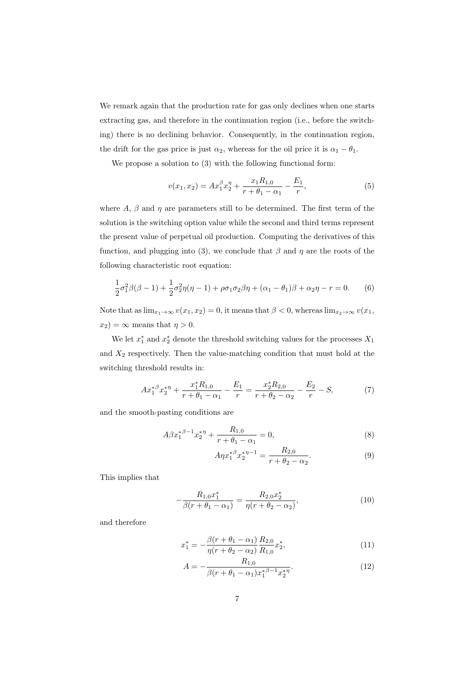We remark again that the production rate for gas only declines when one starts extracting gas, and therefore in the continuation region (i.e., before the switching) there is no declining behavior. Consequently, in the continuation region, the drift for the gas price is just  $\alpha_2$ , whereas for the oil price it is  $\alpha_1 - \theta_1$ .

We propose a solution to  $(3)$  with the following functional form:

$$
v(x_1, x_2) = Ax_1^{\beta} x_2^{\eta} + \frac{x_1 R_{1,0}}{r + \theta_1 - \alpha_1} - \frac{E_1}{r},
$$
\n<sup>(5)</sup>

where A,  $\beta$  and  $\eta$  are parameters still to be determined. The first term of the solution is the switching option value while the second and third terms represent the present value of perpetual oil production. Computing the derivatives of this function, and plugging into (3), we conclude that  $\beta$  and  $\eta$  are the roots of the following characteristic root equation:

$$
\frac{1}{2}\sigma_1^2 \beta(\beta - 1) + \frac{1}{2}\sigma_2^2 \eta(\eta - 1) + \rho \sigma_1 \sigma_2 \beta \eta + (\alpha_1 - \theta_1)\beta + \alpha_2 \eta - r = 0.
$$
 (6)

Note that as  $\lim_{x_1 \to \infty} v(x_1, x_2) = 0$ , it means that  $\beta < 0$ , whereas  $\lim_{x_2 \to \infty} v(x_1, x_2)$  $x_2$ ) =  $\infty$  means that  $\eta > 0$ .

We let  $x_1^*$  and  $x_2^*$  denote the threshold switching values for the processes  $X_1$ and  $X_2$  respectively. Then the value-matching condition that must hold at the switching threshold results in:

$$
Ax_1^{*\beta}x_2^{*\eta} + \frac{x_1^*R_{1,0}}{r+\theta_1-\alpha_1} - \frac{E_1}{r} = \frac{x_2^*R_{2,0}}{r+\theta_2-\alpha_2} - \frac{E_2}{r} - S,\tag{7}
$$

and the smooth-pasting conditions are

$$
A\beta x_1^{*\beta - 1} x_2^{*\eta} + \frac{R_{1,0}}{r + \theta_1 - \alpha_1} = 0, \tag{8}
$$

$$
A\eta x_1^{*\beta} x_2^{*\eta - 1} = \frac{R_{2,0}}{r + \theta_2 - \alpha_2}.\tag{9}
$$

This implies that

$$
-\frac{R_{1,0}x_1^*}{\beta(r+\theta_1-\alpha_1)} = \frac{R_{2,0}x_2^*}{\eta(r+\theta_2-\alpha_2)},\tag{10}
$$

and therefore

$$
x_1^* = -\frac{\beta(r + \theta_1 - \alpha_1)}{\eta(r + \theta_2 - \alpha_2)} \frac{R_{2,0}}{R_{1,0}} x_2^*,\tag{11}
$$

$$
A = -\frac{R_{1,0}}{\beta(r + \theta_1 - \alpha_1)x_1^{*\beta - 1}x_2^{*\eta}}.
$$
\n(12)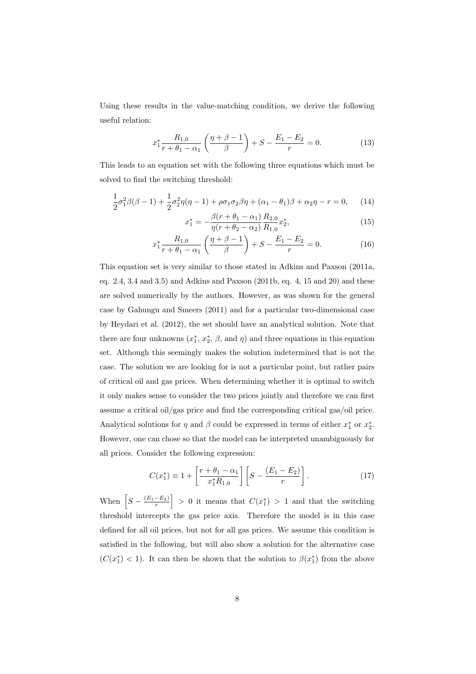Using these results in the value-matching condition, we derive the following useful relation:

$$
x_1^* \frac{R_{1,0}}{r + \theta_1 - \alpha_1} \left( \frac{\eta + \beta - 1}{\beta} \right) + S - \frac{E_1 - E_2}{r} = 0.
$$
 (13)

This leads to an equation set with the following three equations which must be solved to find the switching threshold:

$$
\frac{1}{2}\sigma_1^2 \beta(\beta - 1) + \frac{1}{2}\sigma_2^2 \eta(\eta - 1) + \rho \sigma_1 \sigma_2 \beta \eta + (\alpha_1 - \theta_1)\beta + \alpha_2 \eta - r = 0, \quad (14)
$$

$$
x_1^* = -\frac{\beta(r + \theta_1 - \alpha_1)}{\eta(r + \theta_2 - \alpha_2)} \frac{R_{2,0}}{R_{1,0}} x_2^*,\tag{15}
$$

$$
x_1^* \frac{R_{1,0}}{r + \theta_1 - \alpha_1} \left( \frac{\eta + \beta - 1}{\beta} \right) + S - \frac{E_1 - E_2}{r} = 0.
$$
 (16)

This equation set is very similar to those stated in Adkins and Paxson (2011a, eq. 2.4, 3.4 and 3.5) and Adkins and Paxson (2011b, eq. 4, 15 and 20) and these are solved numerically by the authors. However, as was shown for the general case by Gahungu and Smeers (2011) and for a particular two-dimensional case by Heydari et al. (2012), the set should have an analytical solution. Note that there are four unknowns  $(x_1^*, x_2^*, \beta, \text{ and } \eta)$  and three equations in this equation set. Although this seemingly makes the solution indetermined that is not the case. The solution we are looking for is not a particular point, but rather pairs of critical oil and gas prices. When determining whether it is optimal to switch it only makes sense to consider the two prices jointly and therefore we can first assume a critical oil/gas price and find the corresponding critical gas/oil price. Analytical solutions for  $\eta$  and  $\beta$  could be expressed in terms of either  $x_1^*$  or  $x_2^*$ . However, one can chose so that the model can be interpreted unambiguously for all prices. Consider the following expression:

$$
C(x_1^*) \equiv 1 + \left[\frac{r + \theta_1 - \alpha_1}{x_1^* R_{1,0}}\right] \left[S - \frac{(E_1 - E_2)}{r}\right].
$$
 (17)

When  $\left[ S - \frac{(E_1 - E_2)}{r} \right] > 0$  it means that  $C(x_1^*) > 1$  and that the switching threshold intercepts the gas price axis. Therefore the model is in this case defined for all oil prices, but not for all gas prices. We assume this condition is satisfied in the following, but will also show a solution for the alternative case  $(C(x_1^*) < 1)$ . It can then be shown that the solution to  $\beta(x_1^*)$  from the above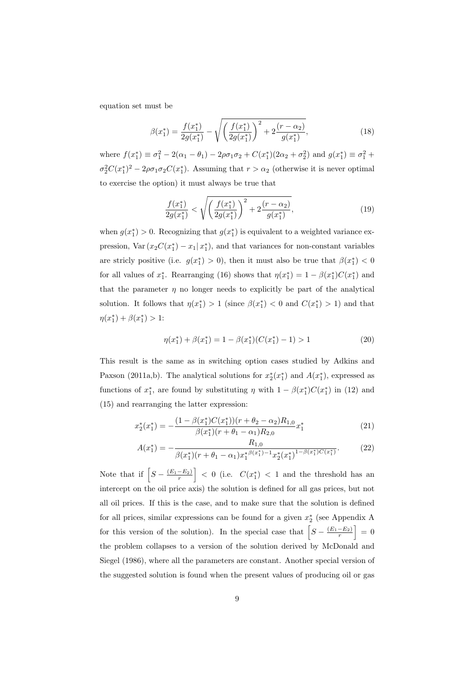equation set must be

$$
\beta(x_1^*) = \frac{f(x_1^*)}{2g(x_1^*)} - \sqrt{\left(\frac{f(x_1^*)}{2g(x_1^*)}\right)^2 + 2\frac{(r-\alpha_2)}{g(x_1^*)}},\tag{18}
$$

where  $f(x_1^*) \equiv \sigma_1^2 - 2(\alpha_1 - \theta_1) - 2\rho\sigma_1\sigma_2 + C(x_1^*)(2\alpha_2 + \sigma_2^2)$  and  $g(x_1^*) \equiv \sigma_1^2 +$  $\sigma_2^2 C(x_1^*)^2 - 2\rho \sigma_1 \sigma_2 C(x_1^*)$ . Assuming that  $r > \alpha_2$  (otherwise it is never optimal to exercise the option) it must always be true that

$$
\frac{f(x_1^*)}{2g(x_1^*)} < \sqrt{\left(\frac{f(x_1^*)}{2g(x_1^*)}\right)^2 + 2\frac{(r-\alpha_2)}{g(x_1^*)}},\tag{19}
$$

when  $g(x_1^*) > 0$ . Recognizing that  $g(x_1^*)$  is equivalent to a weighted variance expression,  $\text{Var}(x_2 C(x_1^*) - x_1 | x_1^*)$ , and that variances for non-constant variables are stricly positive (i.e.  $g(x_1^*) > 0$ ), then it must also be true that  $\beta(x_1^*) < 0$ for all values of  $x_1^*$ . Rearranging (16) shows that  $\eta(x_1^*) = 1 - \beta(x_1^*)C(x_1^*)$  and that the parameter  $\eta$  no longer needs to explicitly be part of the analytical solution. It follows that  $\eta(x_1^*) > 1$  (since  $\beta(x_1^*) < 0$  and  $C(x_1^*) > 1$ ) and that  $\eta(x_1^*) + \beta(x_1^*) > 1$ :

$$
\eta(x_1^*) + \beta(x_1^*) = 1 - \beta(x_1^*)(C(x_1^*) - 1) > 1\tag{20}
$$

This result is the same as in switching option cases studied by Adkins and Paxson (2011a,b). The analytical solutions for  $x_2^*(x_1^*)$  and  $A(x_1^*)$ , expressed as functions of  $x_1^*$ , are found by substituting  $\eta$  with  $1 - \beta(x_1^*)C(x_1^*)$  in (12) and (15) and rearranging the latter expression:

$$
x_2^*(x_1^*) = -\frac{(1 - \beta(x_1^*)C(x_1^*)) (r + \theta_2 - \alpha_2) R_{1,0}}{\beta(x_1^*)(r + \theta_1 - \alpha_1) R_{2,0}} x_1^*
$$
(21)

$$
A(x_1^*) = -\frac{R_{1,0}}{\beta(x_1^*)(r + \theta_1 - \alpha_1)x_1^{*\beta(x_1^*) - 1}x_2^*(x_1^*)^{1 - \beta(x_1^*)C(x_1^*)}}.
$$
(22)

Note that if  $\left|S - \frac{(E_1 - E_2)}{r}\right| < 0$  (i.e.  $C(x_1^*) < 1$  and the threshold has an intercept on the oil price axis) the solution is defined for all gas prices, but not all oil prices. If this is the case, and to make sure that the solution is defined for all prices, similar expressions can be found for a given  $x_2^*$  (see Appendix A for this version of the solution). In the special case that  $\left[S - \frac{(E_1 - E_2)}{r}\right] = 0$ the problem collapses to a version of the solution derived by McDonald and Siegel (1986), where all the parameters are constant. Another special version of the suggested solution is found when the present values of producing oil or gas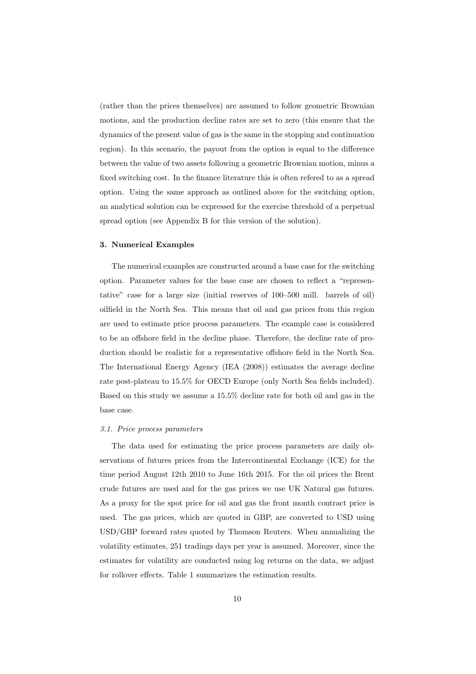(rather than the prices themselves) are assumed to follow geometric Brownian motions, and the production decline rates are set to zero (this ensure that the dynamics of the present value of gas is the same in the stopping and continuation region). In this scenario, the payout from the option is equal to the difference between the value of two assets following a geometric Brownian motion, minus a fixed switching cost. In the finance literature this is often refered to as a spread option. Using the same approach as outlined above for the switching option, an analytical solution can be expressed for the exercise threshold of a perpetual spread option (see Appendix B for this version of the solution).

## 3. Numerical Examples

The numerical examples are constructed around a base case for the switching option. Parameter values for the base case are chosen to reflect a "representative" case for a large size (initial reserves of 100–500 mill. barrels of oil) oilfield in the North Sea. This means that oil and gas prices from this region are used to estimate price process parameters. The example case is considered to be an offshore field in the decline phase. Therefore, the decline rate of production should be realistic for a representative offshore field in the North Sea. The International Energy Agency (IEA (2008)) estimates the average decline rate post-plateau to 15.5% for OECD Europe (only North Sea fields included). Based on this study we assume a 15.5% decline rate for both oil and gas in the base case.

#### 3.1. Price process parameters

The data used for estimating the price process parameters are daily observations of futures prices from the Intercontinental Exchange (ICE) for the time period August 12th 2010 to June 16th 2015. For the oil prices the Brent crude futures are used and for the gas prices we use UK Natural gas futures. As a proxy for the spot price for oil and gas the front month contract price is used. The gas prices, which are quoted in GBP, are converted to USD using USD/GBP forward rates quoted by Thomson Reuters. When annualizing the volatility estimates, 251 tradings days per year is assumed. Moreover, since the estimates for volatility are conducted using log returns on the data, we adjust for rollover effects. Table 1 summarizes the estimation results.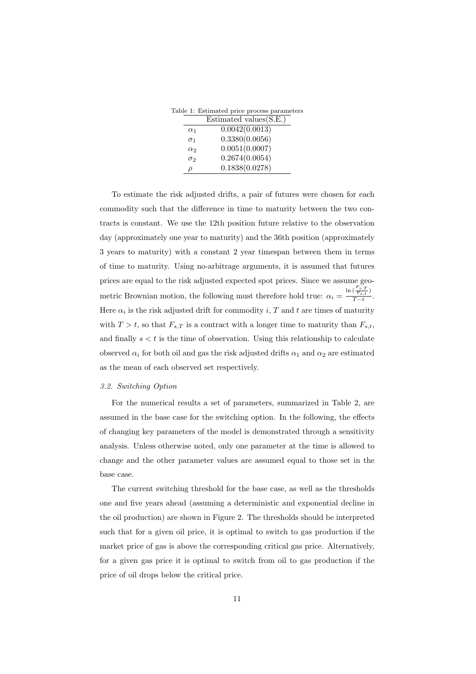Table 1: Estimated price process parameters

|            | Estimated values $(S.E.)$ |
|------------|---------------------------|
| $\alpha_1$ | 0.0042(0.0013)            |
| $\sigma_1$ | 0.3380(0.0056)            |
| $\alpha_2$ | 0.0051(0.0007)            |
| $\sigma_2$ | 0.2674(0.0054)            |
|            | 0.1838(0.0278)            |

To estimate the risk adjusted drifts, a pair of futures were chosen for each commodity such that the difference in time to maturity between the two contracts is constant. We use the 12th position future relative to the observation day (approximately one year to maturity) and the 36th position (approximately 3 years to maturity) with a constant 2 year timespan between them in terms of time to maturity. Using no-arbitrage arguments, it is assumed that futures prices are equal to the risk adjusted expected spot prices. Since we assume geometric Brownian motion, the following must therefore hold true:  $\alpha_i =$  $\ln\big(\frac{F_{s,T}}{F_{s,t}}\big)$  $\frac{\sqrt{F_{s,t}}}{T-t}$ . Here  $\alpha_i$  is the risk adjusted drift for commodity i, T and t are times of maturity with  $T > t$ , so that  $F_{s,T}$  is a contract with a longer time to maturity than  $F_{s,t}$ , and finally  $s < t$  is the time of observation. Using this relationship to calculate observed  $\alpha_i$  for both oil and gas the risk adjusted drifts  $\alpha_1$  and  $\alpha_2$  are estimated as the mean of each observed set respectively.

### 3.2. Switching Option

For the numerical results a set of parameters, summarized in Table 2, are assumed in the base case for the switching option. In the following, the effects of changing key parameters of the model is demonstrated through a sensitivity analysis. Unless otherwise noted, only one parameter at the time is allowed to change and the other parameter values are assumed equal to those set in the base case.

The current switching threshold for the base case, as well as the thresholds one and five years ahead (assuming a deterministic and exponential decline in the oil production) are shown in Figure 2. The thresholds should be interpreted such that for a given oil price, it is optimal to switch to gas production if the market price of gas is above the corresponding critical gas price. Alternatively, for a given gas price it is optimal to switch from oil to gas production if the price of oil drops below the critical price.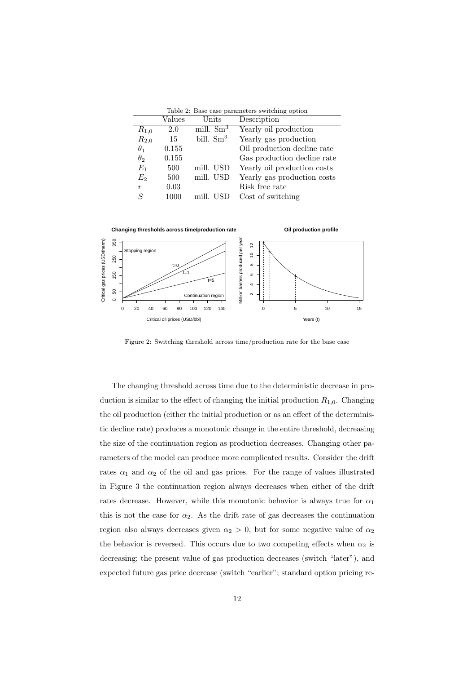|                  |        |              | Table 2: Base case parameters switching option |
|------------------|--------|--------------|------------------------------------------------|
|                  | Values | Units        | Description                                    |
| $R_{1,0}$        | 2.0    | mill. $Sm^3$ | Yearly oil production                          |
| $R_{2,0}$        | 15     | bill. $Sm^3$ | Yearly gas production                          |
| $\theta_1$       | 0.155  |              | Oil production decline rate                    |
| $\theta_2$       | 0.155  |              | Gas production decline rate                    |
| $E_1$            | 500    | mill. USD    | Yearly oil production costs                    |
| E <sub>2</sub>   | 500    | mill. USD    | Yearly gas production costs                    |
| $\boldsymbol{r}$ | 0.03   |              | Risk free rate                                 |
| S                | 1000   | mill. USD    | Cost of switching                              |



Figure 2: Switching threshold across time/production rate for the base case

The changing threshold across time due to the deterministic decrease in production is similar to the effect of changing the initial production  $R_{1,0}$ . Changing the oil production (either the initial production or as an effect of the deterministic decline rate) produces a monotonic change in the entire threshold, decreasing the size of the continuation region as production decreases. Changing other parameters of the model can produce more complicated results. Consider the drift rates  $\alpha_1$  and  $\alpha_2$  of the oil and gas prices. For the range of values illustrated in Figure 3 the continuation region always decreases when either of the drift rates decrease. However, while this monotonic behavior is always true for  $\alpha_1$ this is not the case for  $\alpha_2$ . As the drift rate of gas decreases the continuation region also always decreases given  $\alpha_2 > 0$ , but for some negative value of  $\alpha_2$ the behavior is reversed. This occurs due to two competing effects when  $\alpha_2$  is decreasing; the present value of gas production decreases (switch "later"), and expected future gas price decrease (switch "earlier"; standard option pricing re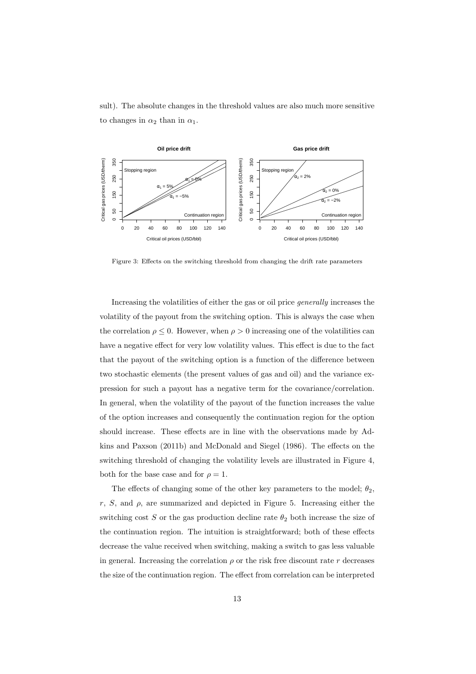sult). The absolute changes in the threshold values are also much more sensitive to changes in  $\alpha_2$  than in  $\alpha_1$ .



Figure 3: Effects on the switching threshold from changing the drift rate parameters

Increasing the volatilities of either the gas or oil price generally increases the volatility of the payout from the switching option. This is always the case when the correlation  $\rho \leq 0$ . However, when  $\rho > 0$  increasing one of the volatilities can have a negative effect for very low volatility values. This effect is due to the fact that the payout of the switching option is a function of the difference between two stochastic elements (the present values of gas and oil) and the variance expression for such a payout has a negative term for the covariance/correlation. In general, when the volatility of the payout of the function increases the value of the option increases and consequently the continuation region for the option should increase. These effects are in line with the observations made by Adkins and Paxson (2011b) and McDonald and Siegel (1986). The effects on the switching threshold of changing the volatility levels are illustrated in Figure 4, both for the base case and for  $\rho = 1$ .

The effects of changing some of the other key parameters to the model;  $\theta_2$ , r, S, and  $\rho$ , are summarized and depicted in Figure 5. Increasing either the switching cost S or the gas production decline rate  $\theta_2$  both increase the size of the continuation region. The intuition is straightforward; both of these effects decrease the value received when switching, making a switch to gas less valuable in general. Increasing the correlation  $\rho$  or the risk free discount rate r decreases the size of the continuation region. The effect from correlation can be interpreted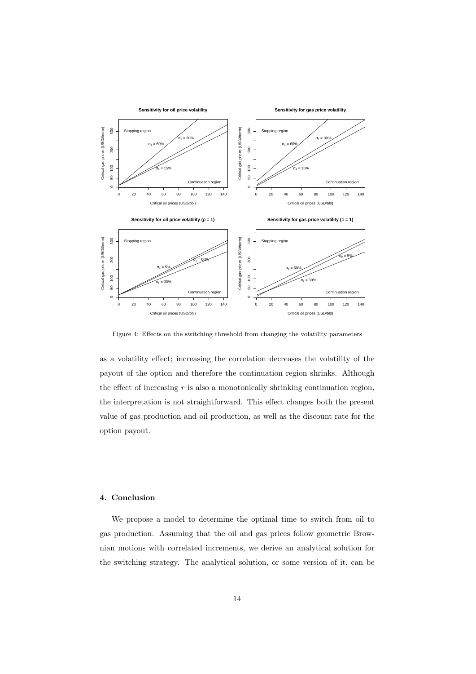

Figure 4: Effects on the switching threshold from changing the volatility parameters

as a volatility effect; increasing the correlation decreases the volatility of the payout of the option and therefore the continuation region shrinks. Although the effect of increasing  $r$  is also a monotonically shrinking continuation region, the interpretation is not straightforward. This effect changes both the present value of gas production and oil production, as well as the discount rate for the option payout.

## 4. Conclusion

We propose a model to determine the optimal time to switch from oil to gas production. Assuming that the oil and gas prices follow geometric Brownian motions with correlated increments, we derive an analytical solution for the switching strategy. The analytical solution, or some version of it, can be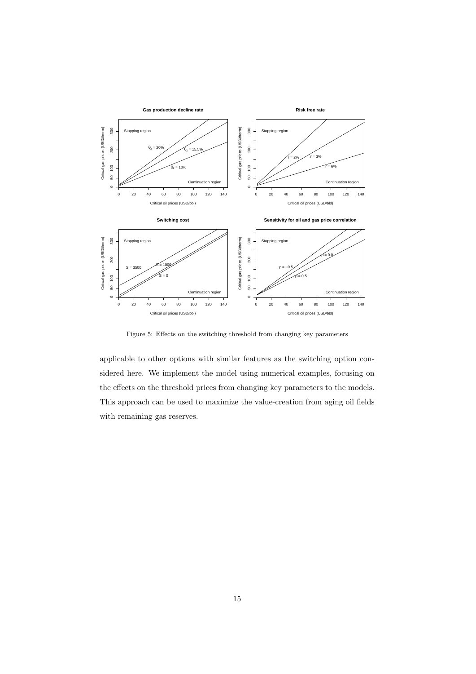

Figure 5: Effects on the switching threshold from changing key parameters

applicable to other options with similar features as the switching option considered here. We implement the model using numerical examples, focusing on the effects on the threshold prices from changing key parameters to the models. This approach can be used to maximize the value-creation from aging oil fields with remaining gas reserves.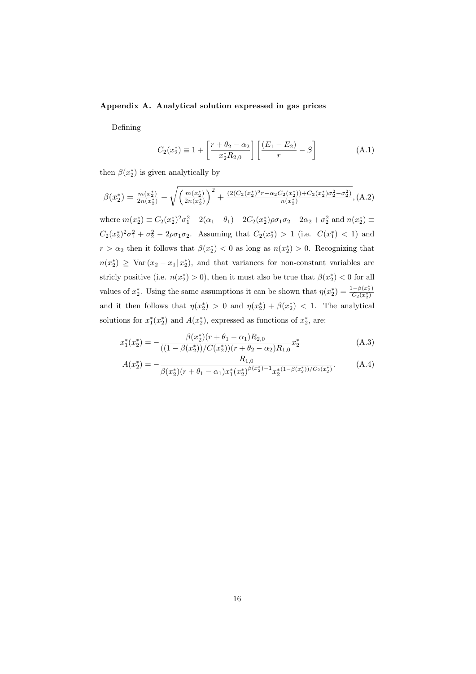## Appendix A. Analytical solution expressed in gas prices

Defining

$$
C_2(x_2^*) \equiv 1 + \left[\frac{r + \theta_2 - \alpha_2}{x_2^* R_{2,0}}\right] \left[\frac{(E_1 - E_2)}{r} - S\right]
$$
 (A.1)

then  $\beta(x_2^*)$  is given analytically by

$$
\beta(x_2^*) = \frac{m(x_2^*)}{2n(x_2^*)} - \sqrt{\left(\frac{m(x_2^*)}{2n(x_2^*)}\right)^2 + \frac{(2(C_2(x_2^*)^2r - \alpha_2C_2(x_2^*)) + C_2(x_2^*)\sigma_2^2 - \sigma_2^2)}{n(x_2^*)}},
$$
(A.2)

where  $m(x_2^*) \equiv C_2(x_2^*)^2 \sigma_1^2 - 2(\alpha_1 - \theta_1) - 2C_2(x_2^*) \rho \sigma_1 \sigma_2 + 2\alpha_2 + \sigma_2^2$  and  $n(x_2^*) \equiv$  $C_2(x_2^*)^2\sigma_1^2 + \sigma_2^2 - 2\rho\sigma_1\sigma_2$ . Assuming that  $C_2(x_2^*) > 1$  (i.e.  $C(x_1^*) < 1$ ) and  $r > \alpha_2$  then it follows that  $\beta(x_2^*) < 0$  as long as  $n(x_2^*) > 0$ . Recognizing that  $n(x_2^*)$  ≥ Var  $(x_2 - x_1 | x_2^*)$ , and that variances for non-constant variables are stricly positive (i.e.  $n(x_2^*) > 0$ ), then it must also be true that  $\beta(x_2^*) < 0$  for all values of  $x_2^*$ . Using the same assumptions it can be shown that  $\eta(x_2^*) = \frac{1-\beta(x_2^*)}{C_2(x_2^*)}$  $C_2(x_2^*)$ and it then follows that  $\eta(x_2^*) > 0$  and  $\eta(x_2^*) + \beta(x_2^*) < 1$ . The analytical solutions for  $x_1^*(x_2^*)$  and  $A(x_2^*)$ , expressed as functions of  $x_2^*$ , are:

$$
x_1^*(x_2^*) = -\frac{\beta(x_2^*)(r+\theta_1-\alpha_1)R_{2,0}}{((1-\beta(x_2^*))/C(x_2^*))^2(r+\theta_2-\alpha_2)R_{1,0}}x_2^*
$$
\n(A.3)

$$
A(x_2^*) = -\frac{R_{1,0}}{\beta(x_2^*)(r + \theta_1 - \alpha_1)x_1^*(x_2^*)^{\beta(x_2^*) - 1}x_2^{*(1 - \beta(x_2^*))/C_2(x_2^*)}}.
$$
(A.4)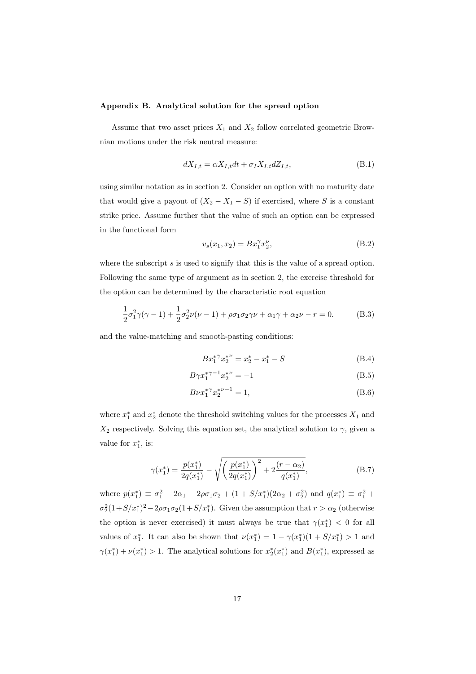## Appendix B. Analytical solution for the spread option

Assume that two asset prices  $X_1$  and  $X_2$  follow correlated geometric Brownian motions under the risk neutral measure:

$$
dX_{I,t} = \alpha X_{I,t} dt + \sigma_I X_{I,t} dZ_{I,t},
$$
\n(B.1)

using similar notation as in section 2. Consider an option with no maturity date that would give a payout of  $(X_2 - X_1 - S)$  if exercised, where S is a constant strike price. Assume further that the value of such an option can be expressed in the functional form

$$
v_s(x_1, x_2) = Bx_1^{\gamma} x_2^{\nu}, \tag{B.2}
$$

where the subscript  $s$  is used to signify that this is the value of a spread option. Following the same type of argument as in section 2, the exercise threshold for the option can be determined by the characteristic root equation

$$
\frac{1}{2}\sigma_1^2 \gamma (\gamma - 1) + \frac{1}{2}\sigma_2^2 \nu (\nu - 1) + \rho \sigma_1 \sigma_2 \gamma \nu + \alpha_1 \gamma + \alpha_2 \nu - r = 0.
$$
 (B.3)

and the value-matching and smooth-pasting conditions:

$$
Bx_1^{*\gamma}x_2^{*\nu} = x_2^* - x_1^* - S \tag{B.4}
$$

$$
B\gamma x_1^{*\gamma - 1} x_2^{*\nu} = -1\tag{B.5}
$$

$$
B\nu x_1^* x_2^{*\nu - 1} = 1,\tag{B.6}
$$

where  $x_1^*$  and  $x_2^*$  denote the threshold switching values for the processes  $X_1$  and  $X_2$  respectively. Solving this equation set, the analytical solution to  $\gamma$ , given a value for  $x_1^*$ , is:

$$
\gamma(x_1^*) = \frac{p(x_1^*)}{2q(x_1^*)} - \sqrt{\left(\frac{p(x_1^*)}{2q(x_1^*)}\right)^2 + 2\frac{(r-\alpha_2)}{q(x_1^*)}},\tag{B.7}
$$

where  $p(x_1^*) \equiv \sigma_1^2 - 2\alpha_1 - 2\rho\sigma_1\sigma_2 + (1 + S/x_1^*)(2\alpha_2 + \sigma_2^2)$  and  $q(x_1^*) \equiv \sigma_1^2 +$  $\sigma_2^2(1+S/x_1^*)^2-2\rho\sigma_1\sigma_2(1+S/x_1^*)$ . Given the assumption that  $r>\alpha_2$  (otherwise the option is never exercised) it must always be true that  $\gamma(x_1^*)$  < 0 for all values of  $x_1^*$ . It can also be shown that  $\nu(x_1^*) = 1 - \gamma(x_1^*)(1 + S/x_1^*) > 1$  and  $\gamma(x_1^*) + \nu(x_1^*) > 1$ . The analytical solutions for  $x_2^*(x_1^*)$  and  $B(x_1^*)$ , expressed as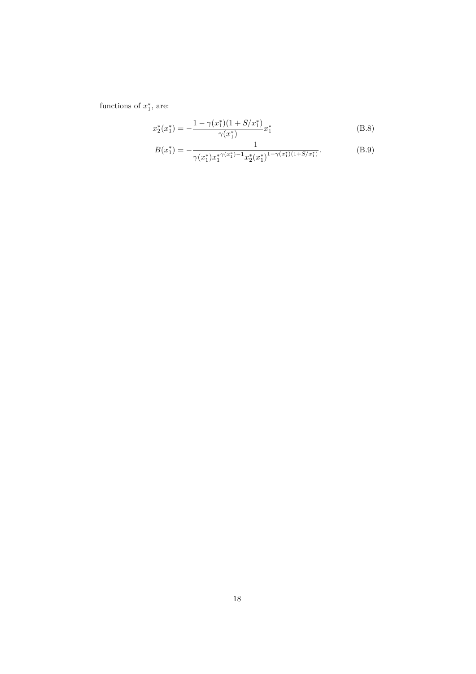functions of  $x_1^*$ , are:

$$
x_2^*(x_1^*) = -\frac{1 - \gamma(x_1^*)(1 + S/x_1^*)}{\gamma(x_1^*)}x_1^*
$$
\n(B.8)

$$
B(x_1^*) = -\frac{1}{\gamma(x_1^*)x_1^*\gamma(x_1^*)^{-1}x_2^*(x_1^*)^{1-\gamma(x_1^*)(1+S/x_1^*)}}.
$$
(B.9)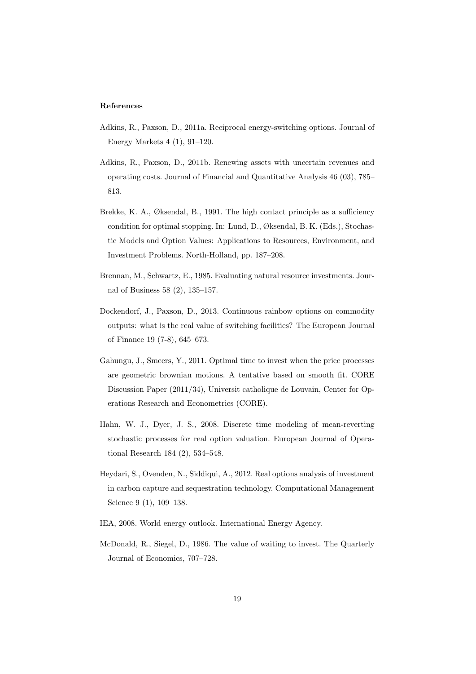#### References

- Adkins, R., Paxson, D., 2011a. Reciprocal energy-switching options. Journal of Energy Markets 4 (1), 91–120.
- Adkins, R., Paxson, D., 2011b. Renewing assets with uncertain revenues and operating costs. Journal of Financial and Quantitative Analysis 46 (03), 785– 813.
- Brekke, K. A., Øksendal, B., 1991. The high contact principle as a sufficiency condition for optimal stopping. In: Lund, D., Øksendal, B. K. (Eds.), Stochastic Models and Option Values: Applications to Resources, Environment, and Investment Problems. North-Holland, pp. 187–208.
- Brennan, M., Schwartz, E., 1985. Evaluating natural resource investments. Journal of Business 58 (2), 135–157.
- Dockendorf, J., Paxson, D., 2013. Continuous rainbow options on commodity outputs: what is the real value of switching facilities? The European Journal of Finance 19 (7-8), 645–673.
- Gahungu, J., Smeers, Y., 2011. Optimal time to invest when the price processes are geometric brownian motions. A tentative based on smooth fit. CORE Discussion Paper (2011/34), Universit catholique de Louvain, Center for Operations Research and Econometrics (CORE).
- Hahn, W. J., Dyer, J. S., 2008. Discrete time modeling of mean-reverting stochastic processes for real option valuation. European Journal of Operational Research 184 (2), 534–548.
- Heydari, S., Ovenden, N., Siddiqui, A., 2012. Real options analysis of investment in carbon capture and sequestration technology. Computational Management Science 9 (1), 109–138.
- IEA, 2008. World energy outlook. International Energy Agency.
- McDonald, R., Siegel, D., 1986. The value of waiting to invest. The Quarterly Journal of Economics, 707–728.